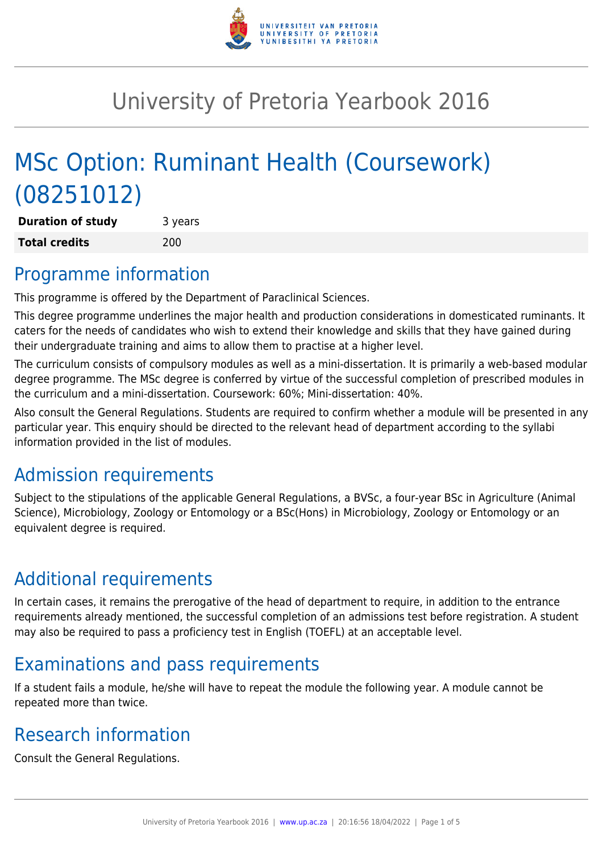

# University of Pretoria Yearbook 2016

# MSc Option: Ruminant Health (Coursework) (08251012)

**Duration of study** 3 years **Total credits** 200

## Programme information

This programme is offered by the Department of Paraclinical Sciences.

This degree programme underlines the major health and production considerations in domesticated ruminants. It caters for the needs of candidates who wish to extend their knowledge and skills that they have gained during their undergraduate training and aims to allow them to practise at a higher level.

The curriculum consists of compulsory modules as well as a mini-dissertation. It is primarily a web-based modular degree programme. The MSc degree is conferred by virtue of the successful completion of prescribed modules in the curriculum and a mini-dissertation. Coursework: 60%; Mini-dissertation: 40%.

Also consult the General Regulations. Students are required to confirm whether a module will be presented in any particular year. This enquiry should be directed to the relevant head of department according to the syllabi information provided in the list of modules.

# Admission requirements

Subject to the stipulations of the applicable General Regulations, a BVSc, a four-year BSc in Agriculture (Animal Science), Microbiology, Zoology or Entomology or a BSc(Hons) in Microbiology, Zoology or Entomology or an equivalent degree is required.

# Additional requirements

In certain cases, it remains the prerogative of the head of department to require, in addition to the entrance requirements already mentioned, the successful completion of an admissions test before registration. A student may also be required to pass a proficiency test in English (TOEFL) at an acceptable level.

# Examinations and pass requirements

If a student fails a module, he/she will have to repeat the module the following year. A module cannot be repeated more than twice.

# Research information

Consult the General Regulations.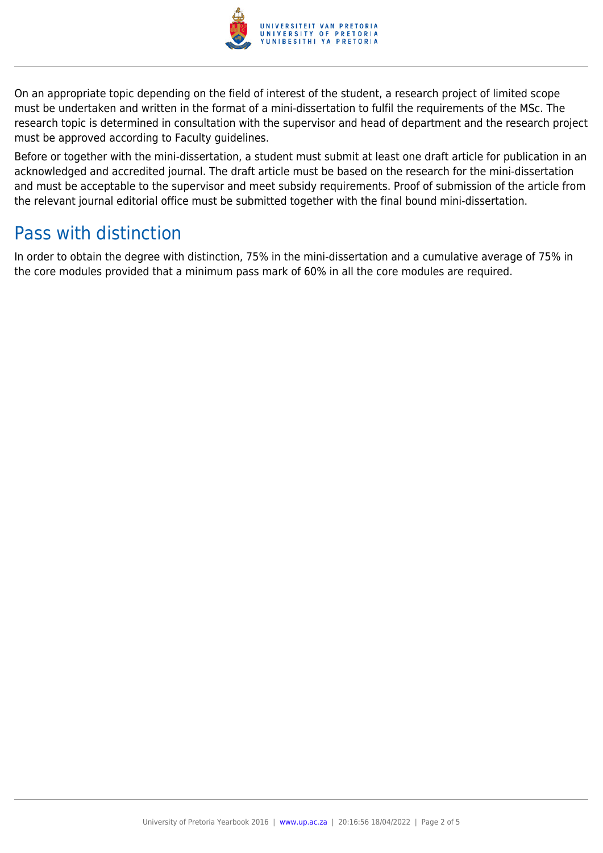

On an appropriate topic depending on the field of interest of the student, a research project of limited scope must be undertaken and written in the format of a mini-dissertation to fulfil the requirements of the MSc. The research topic is determined in consultation with the supervisor and head of department and the research project must be approved according to Faculty guidelines.

Before or together with the mini-dissertation, a student must submit at least one draft article for publication in an acknowledged and accredited journal. The draft article must be based on the research for the mini-dissertation and must be acceptable to the supervisor and meet subsidy requirements. Proof of submission of the article from the relevant journal editorial office must be submitted together with the final bound mini-dissertation.

### Pass with distinction

In order to obtain the degree with distinction, 75% in the mini-dissertation and a cumulative average of 75% in the core modules provided that a minimum pass mark of 60% in all the core modules are required.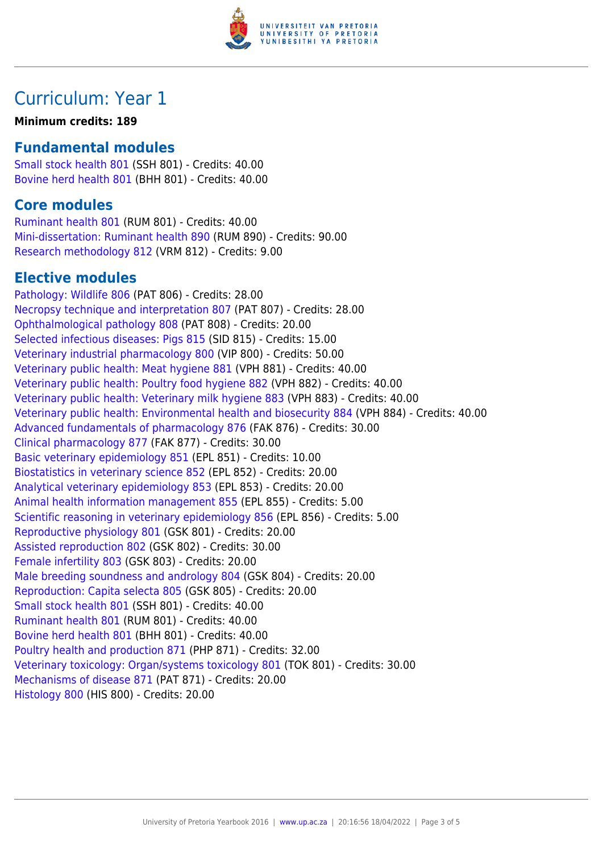

## Curriculum: Year 1

#### **Minimum credits: 189**

### **Fundamental modules**

[Small stock health 801](https://www.up.ac.za/mechanical-and-aeronautical-engineering/yearbooks/2016/modules/view/SSH 801) (SSH 801) - Credits: 40.00 [Bovine herd health 801](https://www.up.ac.za/mechanical-and-aeronautical-engineering/yearbooks/2016/modules/view/BHH 801) (BHH 801) - Credits: 40.00

### **Core modules**

[Ruminant health 801](https://www.up.ac.za/mechanical-and-aeronautical-engineering/yearbooks/2016/modules/view/RUM 801) (RUM 801) - Credits: 40.00 [Mini-dissertation: Ruminant health 890](https://www.up.ac.za/mechanical-and-aeronautical-engineering/yearbooks/2016/modules/view/RUM 890) (RUM 890) - Credits: 90.00 [Research methodology 812](https://www.up.ac.za/mechanical-and-aeronautical-engineering/yearbooks/2016/modules/view/VRM 812) (VRM 812) - Credits: 9.00

### **Elective modules**

[Pathology: Wildlife 806](https://www.up.ac.za/mechanical-and-aeronautical-engineering/yearbooks/2016/modules/view/PAT 806) (PAT 806) - Credits: 28.00 [Necropsy technique and interpretation 807](https://www.up.ac.za/mechanical-and-aeronautical-engineering/yearbooks/2016/modules/view/PAT 807) (PAT 807) - Credits: 28.00 [Ophthalmological pathology 808](https://www.up.ac.za/mechanical-and-aeronautical-engineering/yearbooks/2016/modules/view/PAT 808) (PAT 808) - Credits: 20.00 [Selected infectious diseases: Pigs 815](https://www.up.ac.za/mechanical-and-aeronautical-engineering/yearbooks/2016/modules/view/SID 815) (SID 815) - Credits: 15.00 [Veterinary industrial pharmacology 800](https://www.up.ac.za/mechanical-and-aeronautical-engineering/yearbooks/2016/modules/view/VIP 800) (VIP 800) - Credits: 50.00 [Veterinary public health: Meat hygiene 881](https://www.up.ac.za/mechanical-and-aeronautical-engineering/yearbooks/2016/modules/view/VPH 881) (VPH 881) - Credits: 40.00 [Veterinary public health: Poultry food hygiene 882](https://www.up.ac.za/mechanical-and-aeronautical-engineering/yearbooks/2016/modules/view/VPH 882) (VPH 882) - Credits: 40.00 [Veterinary public health: Veterinary milk hygiene 883](https://www.up.ac.za/mechanical-and-aeronautical-engineering/yearbooks/2016/modules/view/VPH 883) (VPH 883) - Credits: 40.00 [Veterinary public health: Environmental health and biosecurity 884](https://www.up.ac.za/mechanical-and-aeronautical-engineering/yearbooks/2016/modules/view/VPH 884) (VPH 884) - Credits: 40.00 [Advanced fundamentals of pharmacology 876](https://www.up.ac.za/mechanical-and-aeronautical-engineering/yearbooks/2016/modules/view/FAK 876) (FAK 876) - Credits: 30.00 [Clinical pharmacology 877](https://www.up.ac.za/mechanical-and-aeronautical-engineering/yearbooks/2016/modules/view/FAK 877) (FAK 877) - Credits: 30.00 [Basic veterinary epidemiology 851](https://www.up.ac.za/mechanical-and-aeronautical-engineering/yearbooks/2016/modules/view/EPL 851) (EPL 851) - Credits: 10.00 [Biostatistics in veterinary science 852](https://www.up.ac.za/mechanical-and-aeronautical-engineering/yearbooks/2016/modules/view/EPL 852) (EPL 852) - Credits: 20.00 [Analytical veterinary epidemiology 853](https://www.up.ac.za/mechanical-and-aeronautical-engineering/yearbooks/2016/modules/view/EPL 853) (EPL 853) - Credits: 20.00 [Animal health information management 855](https://www.up.ac.za/mechanical-and-aeronautical-engineering/yearbooks/2016/modules/view/EPL 855) (EPL 855) - Credits: 5.00 [Scientific reasoning in veterinary epidemiology 856](https://www.up.ac.za/mechanical-and-aeronautical-engineering/yearbooks/2016/modules/view/EPL 856) (EPL 856) - Credits: 5.00 [Reproductive physiology 801](https://www.up.ac.za/mechanical-and-aeronautical-engineering/yearbooks/2016/modules/view/GSK 801) (GSK 801) - Credits: 20.00 [Assisted reproduction 802](https://www.up.ac.za/mechanical-and-aeronautical-engineering/yearbooks/2016/modules/view/GSK 802) (GSK 802) - Credits: 30.00 [Female infertility 803](https://www.up.ac.za/mechanical-and-aeronautical-engineering/yearbooks/2016/modules/view/GSK 803) (GSK 803) - Credits: 20.00 [Male breeding soundness and andrology 804](https://www.up.ac.za/mechanical-and-aeronautical-engineering/yearbooks/2016/modules/view/GSK 804) (GSK 804) - Credits: 20.00 [Reproduction: Capita selecta 805](https://www.up.ac.za/mechanical-and-aeronautical-engineering/yearbooks/2016/modules/view/GSK 805) (GSK 805) - Credits: 20.00 [Small stock health 801](https://www.up.ac.za/mechanical-and-aeronautical-engineering/yearbooks/2016/modules/view/SSH 801) (SSH 801) - Credits: 40.00 [Ruminant health 801](https://www.up.ac.za/mechanical-and-aeronautical-engineering/yearbooks/2016/modules/view/RUM 801) (RUM 801) - Credits: 40.00 [Bovine herd health 801](https://www.up.ac.za/mechanical-and-aeronautical-engineering/yearbooks/2016/modules/view/BHH 801) (BHH 801) - Credits: 40.00 [Poultry health and production 871](https://www.up.ac.za/mechanical-and-aeronautical-engineering/yearbooks/2016/modules/view/PHP 871) (PHP 871) - Credits: 32.00 [Veterinary toxicology: Organ/systems toxicology 801](https://www.up.ac.za/mechanical-and-aeronautical-engineering/yearbooks/2016/modules/view/TOK 801) (TOK 801) - Credits: 30.00 [Mechanisms of disease 871](https://www.up.ac.za/mechanical-and-aeronautical-engineering/yearbooks/2016/modules/view/PAT 871) (PAT 871) - Credits: 20.00 [Histology 800](https://www.up.ac.za/mechanical-and-aeronautical-engineering/yearbooks/2016/modules/view/HIS 800) (HIS 800) - Credits: 20.00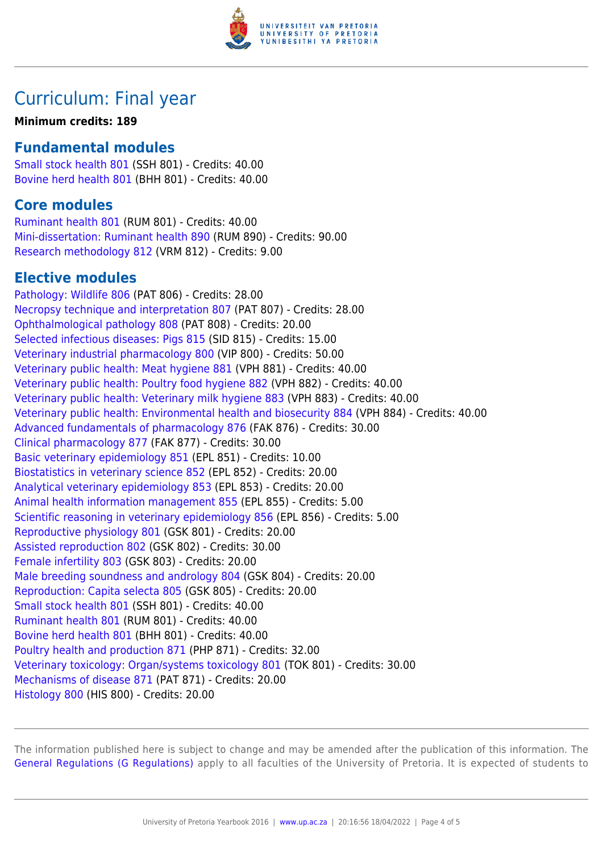

## Curriculum: Final year

#### **Minimum credits: 189**

### **Fundamental modules**

[Small stock health 801](https://www.up.ac.za/mechanical-and-aeronautical-engineering/yearbooks/2016/modules/view/SSH 801) (SSH 801) - Credits: 40.00 [Bovine herd health 801](https://www.up.ac.za/mechanical-and-aeronautical-engineering/yearbooks/2016/modules/view/BHH 801) (BHH 801) - Credits: 40.00

### **Core modules**

[Ruminant health 801](https://www.up.ac.za/mechanical-and-aeronautical-engineering/yearbooks/2016/modules/view/RUM 801) (RUM 801) - Credits: 40.00 [Mini-dissertation: Ruminant health 890](https://www.up.ac.za/mechanical-and-aeronautical-engineering/yearbooks/2016/modules/view/RUM 890) (RUM 890) - Credits: 90.00 [Research methodology 812](https://www.up.ac.za/mechanical-and-aeronautical-engineering/yearbooks/2016/modules/view/VRM 812) (VRM 812) - Credits: 9.00

### **Elective modules**

[Pathology: Wildlife 806](https://www.up.ac.za/mechanical-and-aeronautical-engineering/yearbooks/2016/modules/view/PAT 806) (PAT 806) - Credits: 28.00 [Necropsy technique and interpretation 807](https://www.up.ac.za/mechanical-and-aeronautical-engineering/yearbooks/2016/modules/view/PAT 807) (PAT 807) - Credits: 28.00 [Ophthalmological pathology 808](https://www.up.ac.za/mechanical-and-aeronautical-engineering/yearbooks/2016/modules/view/PAT 808) (PAT 808) - Credits: 20.00 [Selected infectious diseases: Pigs 815](https://www.up.ac.za/mechanical-and-aeronautical-engineering/yearbooks/2016/modules/view/SID 815) (SID 815) - Credits: 15.00 [Veterinary industrial pharmacology 800](https://www.up.ac.za/mechanical-and-aeronautical-engineering/yearbooks/2016/modules/view/VIP 800) (VIP 800) - Credits: 50.00 [Veterinary public health: Meat hygiene 881](https://www.up.ac.za/mechanical-and-aeronautical-engineering/yearbooks/2016/modules/view/VPH 881) (VPH 881) - Credits: 40.00 [Veterinary public health: Poultry food hygiene 882](https://www.up.ac.za/mechanical-and-aeronautical-engineering/yearbooks/2016/modules/view/VPH 882) (VPH 882) - Credits: 40.00 [Veterinary public health: Veterinary milk hygiene 883](https://www.up.ac.za/mechanical-and-aeronautical-engineering/yearbooks/2016/modules/view/VPH 883) (VPH 883) - Credits: 40.00 [Veterinary public health: Environmental health and biosecurity 884](https://www.up.ac.za/mechanical-and-aeronautical-engineering/yearbooks/2016/modules/view/VPH 884) (VPH 884) - Credits: 40.00 [Advanced fundamentals of pharmacology 876](https://www.up.ac.za/mechanical-and-aeronautical-engineering/yearbooks/2016/modules/view/FAK 876) (FAK 876) - Credits: 30.00 [Clinical pharmacology 877](https://www.up.ac.za/mechanical-and-aeronautical-engineering/yearbooks/2016/modules/view/FAK 877) (FAK 877) - Credits: 30.00 [Basic veterinary epidemiology 851](https://www.up.ac.za/mechanical-and-aeronautical-engineering/yearbooks/2016/modules/view/EPL 851) (EPL 851) - Credits: 10.00 [Biostatistics in veterinary science 852](https://www.up.ac.za/mechanical-and-aeronautical-engineering/yearbooks/2016/modules/view/EPL 852) (EPL 852) - Credits: 20.00 [Analytical veterinary epidemiology 853](https://www.up.ac.za/mechanical-and-aeronautical-engineering/yearbooks/2016/modules/view/EPL 853) (EPL 853) - Credits: 20.00 [Animal health information management 855](https://www.up.ac.za/mechanical-and-aeronautical-engineering/yearbooks/2016/modules/view/EPL 855) (EPL 855) - Credits: 5.00 [Scientific reasoning in veterinary epidemiology 856](https://www.up.ac.za/mechanical-and-aeronautical-engineering/yearbooks/2016/modules/view/EPL 856) (EPL 856) - Credits: 5.00 [Reproductive physiology 801](https://www.up.ac.za/mechanical-and-aeronautical-engineering/yearbooks/2016/modules/view/GSK 801) (GSK 801) - Credits: 20.00 [Assisted reproduction 802](https://www.up.ac.za/mechanical-and-aeronautical-engineering/yearbooks/2016/modules/view/GSK 802) (GSK 802) - Credits: 30.00 [Female infertility 803](https://www.up.ac.za/mechanical-and-aeronautical-engineering/yearbooks/2016/modules/view/GSK 803) (GSK 803) - Credits: 20.00 [Male breeding soundness and andrology 804](https://www.up.ac.za/mechanical-and-aeronautical-engineering/yearbooks/2016/modules/view/GSK 804) (GSK 804) - Credits: 20.00 [Reproduction: Capita selecta 805](https://www.up.ac.za/mechanical-and-aeronautical-engineering/yearbooks/2016/modules/view/GSK 805) (GSK 805) - Credits: 20.00 [Small stock health 801](https://www.up.ac.za/mechanical-and-aeronautical-engineering/yearbooks/2016/modules/view/SSH 801) (SSH 801) - Credits: 40.00 [Ruminant health 801](https://www.up.ac.za/mechanical-and-aeronautical-engineering/yearbooks/2016/modules/view/RUM 801) (RUM 801) - Credits: 40.00 [Bovine herd health 801](https://www.up.ac.za/mechanical-and-aeronautical-engineering/yearbooks/2016/modules/view/BHH 801) (BHH 801) - Credits: 40.00 [Poultry health and production 871](https://www.up.ac.za/mechanical-and-aeronautical-engineering/yearbooks/2016/modules/view/PHP 871) (PHP 871) - Credits: 32.00 [Veterinary toxicology: Organ/systems toxicology 801](https://www.up.ac.za/mechanical-and-aeronautical-engineering/yearbooks/2016/modules/view/TOK 801) (TOK 801) - Credits: 30.00 [Mechanisms of disease 871](https://www.up.ac.za/mechanical-and-aeronautical-engineering/yearbooks/2016/modules/view/PAT 871) (PAT 871) - Credits: 20.00 [Histology 800](https://www.up.ac.za/mechanical-and-aeronautical-engineering/yearbooks/2016/modules/view/HIS 800) (HIS 800) - Credits: 20.00

The information published here is subject to change and may be amended after the publication of this information. The [General Regulations \(G Regulations\)](https://www.up.ac.za/mechanical-and-aeronautical-engineering/yearbooks/2016/rules/view/REG) apply to all faculties of the University of Pretoria. It is expected of students to